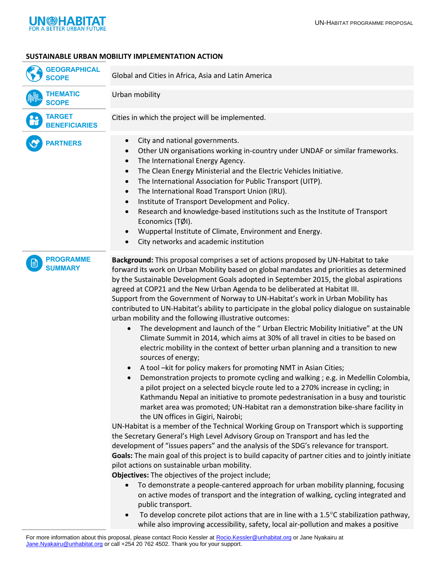

## **SUSTAINABLE URBAN MOBILITY IMPLEMENTATION ACTION**

| <b>GEOGRAPHICAL</b><br><b>SCOPE</b>   | Global and Cities in Africa, Asia and Latin America                                                                                                                                                                                                                                                                                                                                                                                                                                                                                                                                                                                                                                                                                                                                                                                                                                                                                                                                                                                                                                                                                                                                                                                                                                                                                                                                                                                                                                                                                                                                                                                                                                                                                                                                                                                                                                                                                                                                                                                                                                                                                                                                                                                                                                       |
|---------------------------------------|-------------------------------------------------------------------------------------------------------------------------------------------------------------------------------------------------------------------------------------------------------------------------------------------------------------------------------------------------------------------------------------------------------------------------------------------------------------------------------------------------------------------------------------------------------------------------------------------------------------------------------------------------------------------------------------------------------------------------------------------------------------------------------------------------------------------------------------------------------------------------------------------------------------------------------------------------------------------------------------------------------------------------------------------------------------------------------------------------------------------------------------------------------------------------------------------------------------------------------------------------------------------------------------------------------------------------------------------------------------------------------------------------------------------------------------------------------------------------------------------------------------------------------------------------------------------------------------------------------------------------------------------------------------------------------------------------------------------------------------------------------------------------------------------------------------------------------------------------------------------------------------------------------------------------------------------------------------------------------------------------------------------------------------------------------------------------------------------------------------------------------------------------------------------------------------------------------------------------------------------------------------------------------------------|
| <b>THEMATIC</b><br><b>SCOPE</b>       | Urban mobility                                                                                                                                                                                                                                                                                                                                                                                                                                                                                                                                                                                                                                                                                                                                                                                                                                                                                                                                                                                                                                                                                                                                                                                                                                                                                                                                                                                                                                                                                                                                                                                                                                                                                                                                                                                                                                                                                                                                                                                                                                                                                                                                                                                                                                                                            |
| <b>TARGET</b><br><b>BENEFICIARIES</b> | Cities in which the project will be implemented.                                                                                                                                                                                                                                                                                                                                                                                                                                                                                                                                                                                                                                                                                                                                                                                                                                                                                                                                                                                                                                                                                                                                                                                                                                                                                                                                                                                                                                                                                                                                                                                                                                                                                                                                                                                                                                                                                                                                                                                                                                                                                                                                                                                                                                          |
| <b>PARTNERS</b>                       | City and national governments.<br>$\bullet$<br>Other UN organisations working in-country under UNDAF or similar frameworks.<br>$\bullet$<br>The International Energy Agency.<br>$\bullet$<br>The Clean Energy Ministerial and the Electric Vehicles Initiative.<br>$\bullet$<br>The International Association for Public Transport (UITP).<br>$\bullet$<br>The International Road Transport Union (IRU).<br>$\bullet$<br>Institute of Transport Development and Policy.<br>$\bullet$<br>Research and knowledge-based institutions such as the Institute of Transport<br>$\bullet$<br>Economics (TØI).<br>Wuppertal Institute of Climate, Environment and Energy.<br>City networks and academic institution<br>$\bullet$                                                                                                                                                                                                                                                                                                                                                                                                                                                                                                                                                                                                                                                                                                                                                                                                                                                                                                                                                                                                                                                                                                                                                                                                                                                                                                                                                                                                                                                                                                                                                                   |
| <b>PROGRAMME</b><br><b>SUMMARY</b>    | Background: This proposal comprises a set of actions proposed by UN-Habitat to take<br>forward its work on Urban Mobility based on global mandates and priorities as determined<br>by the Sustainable Development Goals adopted in September 2015, the global aspirations<br>agreed at COP21 and the New Urban Agenda to be deliberated at Habitat III.<br>Support from the Government of Norway to UN-Habitat's work in Urban Mobility has<br>contributed to UN-Habitat's ability to participate in the global policy dialogue on sustainable<br>urban mobility and the following illustrative outcomes:<br>The development and launch of the "Urban Electric Mobility Initiative" at the UN<br>$\bullet$<br>Climate Summit in 2014, which aims at 30% of all travel in cities to be based on<br>electric mobility in the context of better urban planning and a transition to new<br>sources of energy;<br>A tool -kit for policy makers for promoting NMT in Asian Cities;<br>$\bullet$<br>Demonstration projects to promote cycling and walking; e.g. in Medellin Colombia,<br>a pilot project on a selected bicycle route led to a 270% increase in cycling; in<br>Kathmandu Nepal an initiative to promote pedestranisation in a busy and touristic<br>market area was promoted; UN-Habitat ran a demonstration bike-share facility in<br>the UN offices in Gigiri, Nairobi;<br>UN-Habitat is a member of the Technical Working Group on Transport which is supporting<br>the Secretary General's High Level Advisory Group on Transport and has led the<br>development of "issues papers" and the analysis of the SDG's relevance for transport.<br>Goals: The main goal of this project is to build capacity of partner cities and to jointly initiate<br>pilot actions on sustainable urban mobility.<br>Objectives: The objectives of the project include;<br>To demonstrate a people-cantered approach for urban mobility planning, focusing<br>$\bullet$<br>on active modes of transport and the integration of walking, cycling integrated and<br>public transport.<br>To develop concrete pilot actions that are in line with a $1.5^{\circ}$ C stabilization pathway,<br>$\bullet$<br>while also improving accessibility, safety, local air-pollution and makes a positive |